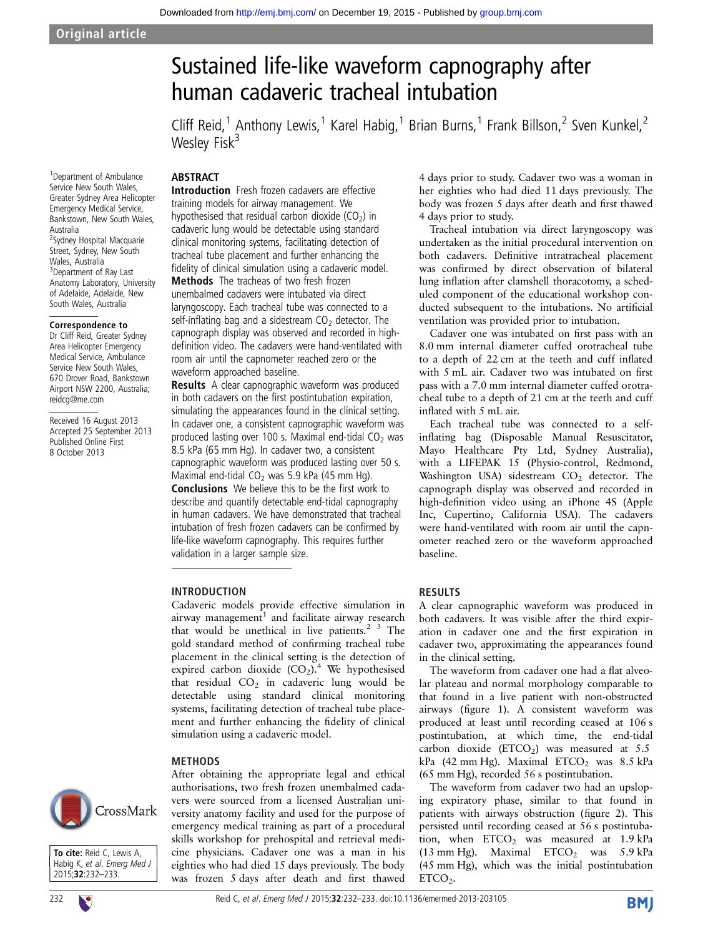# Sustained life-like waveform capnography after human cadaveric tracheal intubation

Cliff Reid,<sup>1</sup> Anthony Lewis,<sup>1</sup> Karel Habig,<sup>1</sup> Brian Burns,<sup>1</sup> Frank Billson,<sup>2</sup> Sven Kunkel,<sup>2</sup> Wesley Fisk $3$ 

# ABSTRACT

1 Department of Ambulance Service New South Wales, Greater Sydney Area Helicopter Emergency Medical Service, Bankstown, New South Wales, Australia <sup>2</sup>Sydney Hospital Macquarie Street, Sydney, New South Wales, Australia <sup>3</sup>Department of Ray Last Anatomy Laboratory, University of Adelaide, Adelaide, New South Wales, Australia

#### Correspondence to

Dr Cliff Reid, Greater Sydney Area Helicopter Emergency Medical Service, Ambulance Service New South Wales, 670 Drover Road, Bankstown Airport NSW 2200, Australia; reidcg@me.com

Received 16 August 2013 Accepted 25 September 2013 Published Online First 8 October 2013

Introduction Fresh frozen cadavers are effective training models for airway management. We hypothesised that residual carbon dioxide ( $CO<sub>2</sub>$ ) in cadaveric lung would be detectable using standard clinical monitoring systems, facilitating detection of tracheal tube placement and further enhancing the fidelity of clinical simulation using a cadaveric model.

**Methods** The tracheas of two fresh frozen unembalmed cadavers were intubated via direct laryngoscopy. Each tracheal tube was connected to a self-inflating bag and a sidestream  $CO<sub>2</sub>$  detector. The capnograph display was observed and recorded in highdefinition video. The cadavers were hand-ventilated with room air until the capnometer reached zero or the waveform approached baseline.

Results A clear capnographic waveform was produced in both cadavers on the first postintubation expiration, simulating the appearances found in the clinical setting. In cadaver one, a consistent capnographic waveform was produced lasting over 100 s. Maximal end-tidal  $CO<sub>2</sub>$  was 8.5 kPa (65 mm Hg). In cadaver two, a consistent capnographic waveform was produced lasting over 50 s. Maximal end-tidal  $CO<sub>2</sub>$  was 5.9 kPa (45 mm Hg). Conclusions We believe this to be the first work to describe and quantify detectable end-tidal capnography in human cadavers. We have demonstrated that tracheal intubation of fresh frozen cadavers can be confirmed by life-like waveform capnography. This requires further validation in a larger sample size.

## INTRODUCTION

Cadaveric models provide effective simulation in airway management<sup>1</sup> and facilitate airway research that would be unethical in live patients. $2<sup>3</sup>$  The gold standard method of confirming tracheal tube placement in the clinical setting is the detection of expired carbon dioxide  $(CO_2)$ .<sup>4</sup> We hypothesised that residual  $CO<sub>2</sub>$  in cadaveric lung would be detectable using standard clinical monitoring systems, facilitating detection of tracheal tube placement and further enhancing the fidelity of clinical simulation using a cadaveric model.

After obtaining the appropriate legal and ethical authorisations, two fresh frozen unembalmed cadavers were sourced from a licensed Australian university anatomy facility and used for the purpose of emergency medical training as part of a procedural skills workshop for prehospital and retrieval medicine physicians. Cadaver one was a man in his eighties who had died 15 days previously. The body was frozen 5 days after death and first thawed

## METHODS

CrossMark

To cite: Reid C, Lewis A, Habig K, et al. Emerg Med J 2015;32:232–233.





4 days prior to study. Cadaver two was a woman in her eighties who had died 11 days previously. The body was frozen 5 days after death and first thawed 4 days prior to study.

Tracheal intubation via direct laryngoscopy was undertaken as the initial procedural intervention on both cadavers. Definitive intratracheal placement was confirmed by direct observation of bilateral lung inflation after clamshell thoracotomy, a scheduled component of the educational workshop conducted subsequent to the intubations. No artificial ventilation was provided prior to intubation.

Cadaver one was intubated on first pass with an 8.0 mm internal diameter cuffed orotracheal tube to a depth of 22 cm at the teeth and cuff inflated with 5 mL air. Cadaver two was intubated on first pass with a 7.0 mm internal diameter cuffed orotracheal tube to a depth of 21 cm at the teeth and cuff inflated with 5 mL air.

Each tracheal tube was connected to a selfinflating bag (Disposable Manual Resuscitator, Mayo Healthcare Pty Ltd, Sydney Australia), with a LIFEPAK 15 (Physio-control, Redmond, Washington USA) sidestream  $CO<sub>2</sub>$  detector. The capnograph display was observed and recorded in high-definition video using an iPhone 4S (Apple Inc, Cupertino, California USA). The cadavers were hand-ventilated with room air until the capnometer reached zero or the waveform approached baseline.

# RESULTS

A clear capnographic waveform was produced in both cadavers. It was visible after the third expiration in cadaver one and the first expiration in cadaver two, approximating the appearances found in the clinical setting.

The waveform from cadaver one had a flat alveolar plateau and normal morphology comparable to that found in a live patient with non-obstructed airways (figure 1). A consistent waveform was produced at least until recording ceased at 106 s postintubation, at which time, the end-tidal carbon dioxide (ETCO<sub>2</sub>) was measured at  $5.5$ kPa (42 mm Hg). Maximal  $ETCO<sub>2</sub>$  was 8.5 kPa (65 mm Hg), recorded 56 s postintubation.

The waveform from cadaver two had an upsloping expiratory phase, similar to that found in patients with airways obstruction (figure 2). This persisted until recording ceased at 56 s postintubation, when  $ETCO<sub>2</sub>$  was measured at 1.9 kPa  $(13 \text{ mm Hg})$ . Maximal ETCO<sub>2</sub> was  $5.9 \text{ kPa}$ (45 mm Hg), which was the initial postintubation  $ETCO<sub>2</sub>$ .